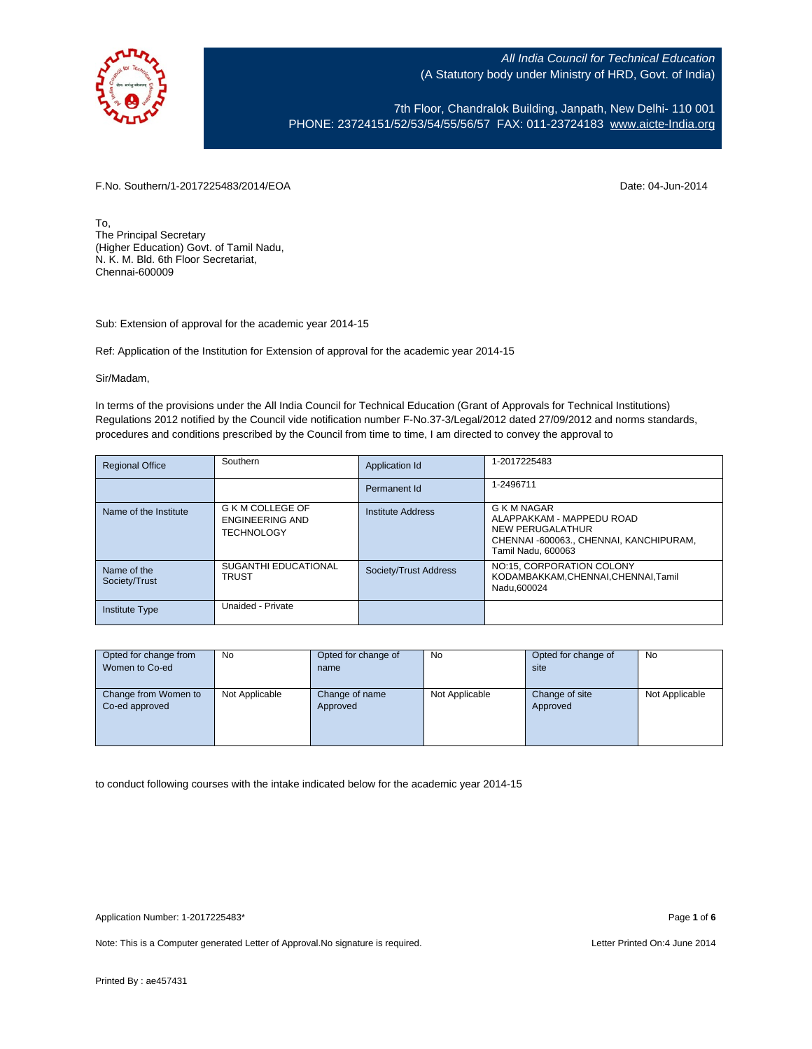

7th Floor, Chandralok Building, Janpath, New Delhi- 110 001 PHONE: 23724151/52/53/54/55/56/57 FAX: 011-23724183 [www.aicte-India.org](http://www.aicte-india.org/)

F.No. Southern/1-2017225483/2014/EOA Date: 04-Jun-2014

To, The Principal Secretary (Higher Education) Govt. of Tamil Nadu, N. K. M. Bld. 6th Floor Secretariat, Chennai-600009

Sub: Extension of approval for the academic year 2014-15

Ref: Application of the Institution for Extension of approval for the academic year 2014-15

Sir/Madam,

In terms of the provisions under the All India Council for Technical Education (Grant of Approvals for Technical Institutions) Regulations 2012 notified by the Council vide notification number F-No.37-3/Legal/2012 dated 27/09/2012 and norms standards, procedures and conditions prescribed by the Council from time to time, I am directed to convey the approval to

| <b>Regional Office</b>       | Southern                                                 | Application Id        | 1-2017225483                                                                                                                  |
|------------------------------|----------------------------------------------------------|-----------------------|-------------------------------------------------------------------------------------------------------------------------------|
|                              |                                                          | Permanent Id          | 1-2496711                                                                                                                     |
| Name of the Institute        | G K M COLLEGE OF<br>ENGINEERING AND<br><b>TECHNOLOGY</b> | Institute Address     | G K M NAGAR<br>ALAPPAKKAM - MAPPEDU ROAD<br>NEW PERUGALATHUR<br>CHENNAI -600063., CHENNAI, KANCHIPURAM,<br>Tamil Nadu, 600063 |
| Name of the<br>Society/Trust | SUGANTHI EDUCATIONAL<br><b>TRUST</b>                     | Society/Trust Address | NO:15, CORPORATION COLONY<br>KODAMBAKKAM.CHENNAI.CHENNAI.Tamil<br>Nadu.600024                                                 |
| <b>Institute Type</b>        | Unaided - Private                                        |                       |                                                                                                                               |

| Opted for change from | No             | Opted for change of | No             | Opted for change of | No             |
|-----------------------|----------------|---------------------|----------------|---------------------|----------------|
| Women to Co-ed        |                | name                |                | site                |                |
|                       |                |                     |                |                     |                |
| Change from Women to  | Not Applicable | Change of name      | Not Applicable | Change of site      | Not Applicable |
| Co-ed approved        |                | Approved            |                | Approved            |                |
|                       |                |                     |                |                     |                |
|                       |                |                     |                |                     |                |
|                       |                |                     |                |                     |                |

to conduct following courses with the intake indicated below for the academic year 2014-15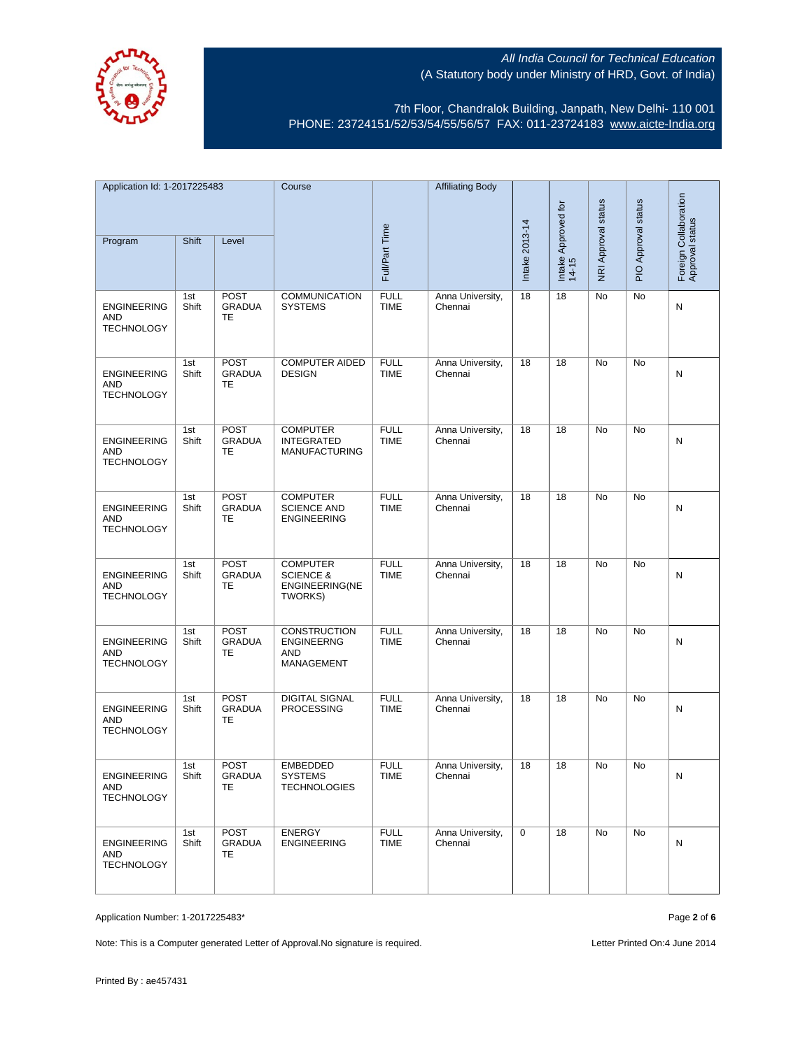

7th Floor, Chandralok Building, Janpath, New Delhi- 110 001 PHONE: 23724151/52/53/54/55/56/57 FAX: 011-23724183 [www.aicte-India.org](http://www.aicte-india.org/)

| Application Id: 1-2017225483                          |              | Course                                    |                                                                      | <b>Affiliating Body</b>    |                             |                              |                     |                     |                                          |   |
|-------------------------------------------------------|--------------|-------------------------------------------|----------------------------------------------------------------------|----------------------------|-----------------------------|------------------------------|---------------------|---------------------|------------------------------------------|---|
| Shift<br>Program<br>Level                             |              |                                           |                                                                      |                            |                             | Intake Approved for<br>14-15 | NRI Approval status | PIO Approval status | Foreign Collaboration<br>Approval status |   |
|                                                       |              |                                           |                                                                      | Full/Part Time             |                             | Intake 2013-14               |                     |                     |                                          |   |
| <b>ENGINEERING</b><br>AND<br><b>TECHNOLOGY</b>        | 1st<br>Shift | <b>POST</b><br><b>GRADUA</b><br>TE        | <b>COMMUNICATION</b><br><b>SYSTEMS</b>                               | <b>FULL</b><br><b>TIME</b> | Anna University,<br>Chennai | 18                           | 18                  | No                  | No                                       | Ν |
| <b>ENGINEERING</b><br>AND<br><b>TECHNOLOGY</b>        | 1st<br>Shift | <b>POST</b><br><b>GRADUA</b><br>TE        | <b>COMPUTER AIDED</b><br><b>DESIGN</b>                               | <b>FULL</b><br><b>TIME</b> | Anna University,<br>Chennai | 18                           | 18                  | No                  | No                                       | N |
| <b>ENGINEERING</b><br><b>AND</b><br><b>TECHNOLOGY</b> | 1st<br>Shift | <b>POST</b><br><b>GRADUA</b><br><b>TE</b> | <b>COMPUTER</b><br><b>INTEGRATED</b><br><b>MANUFACTURING</b>         | <b>FULL</b><br><b>TIME</b> | Anna University,<br>Chennai | 18                           | 18                  | <b>No</b>           | <b>No</b>                                | N |
| <b>ENGINEERING</b><br>AND<br><b>TECHNOLOGY</b>        | 1st<br>Shift | <b>POST</b><br><b>GRADUA</b><br>TE        | <b>COMPUTER</b><br><b>SCIENCE AND</b><br><b>ENGINEERING</b>          | <b>FULL</b><br><b>TIME</b> | Anna University,<br>Chennai | 18                           | 18                  | No                  | <b>No</b>                                | Ν |
| <b>ENGINEERING</b><br>AND<br><b>TECHNOLOGY</b>        | 1st<br>Shift | <b>POST</b><br><b>GRADUA</b><br>TE        | <b>COMPUTER</b><br><b>SCIENCE &amp;</b><br>ENGINEERING(NE<br>TWORKS) | <b>FULL</b><br><b>TIME</b> | Anna University,<br>Chennai | 18                           | 18                  | No                  | No                                       | N |
| <b>ENGINEERING</b><br>AND<br><b>TECHNOLOGY</b>        | 1st<br>Shift | POST<br><b>GRADUA</b><br>TE               | <b>CONSTRUCTION</b><br><b>ENGINEERNG</b><br><b>AND</b><br>MANAGEMENT | <b>FULL</b><br><b>TIME</b> | Anna University,<br>Chennai | 18                           | 18                  | No                  | No                                       | N |
| <b>ENGINEERING</b><br>AND<br><b>TECHNOLOGY</b>        | 1st<br>Shift | <b>POST</b><br><b>GRADUA</b><br>TE        | <b>DIGITAL SIGNAL</b><br><b>PROCESSING</b>                           | <b>FULL</b><br><b>TIME</b> | Anna University,<br>Chennai | 18                           | 18                  | <b>No</b>           | No                                       | N |
| <b>ENGINEERING</b><br>AND<br><b>TECHNOLOGY</b>        | 1st<br>Shift | <b>POST</b><br><b>GRADUA</b><br>TE.       | <b>EMBEDDED</b><br><b>SYSTEMS</b><br><b>TECHNOLOGIES</b>             | <b>FULL</b><br>TIME        | Anna University,<br>Chennai | 18                           | 18                  | No                  | No                                       | N |
| <b>ENGINEERING</b><br>AND<br><b>TECHNOLOGY</b>        | 1st<br>Shift | POST<br><b>GRADUA</b><br>TE               | ENERGY<br><b>ENGINEERING</b>                                         | <b>FULL</b><br><b>TIME</b> | Anna University,<br>Chennai | $\mathbf 0$                  | 18                  | No                  | No                                       | N |

Application Number: 1-2017225483\* Page **2** of **6**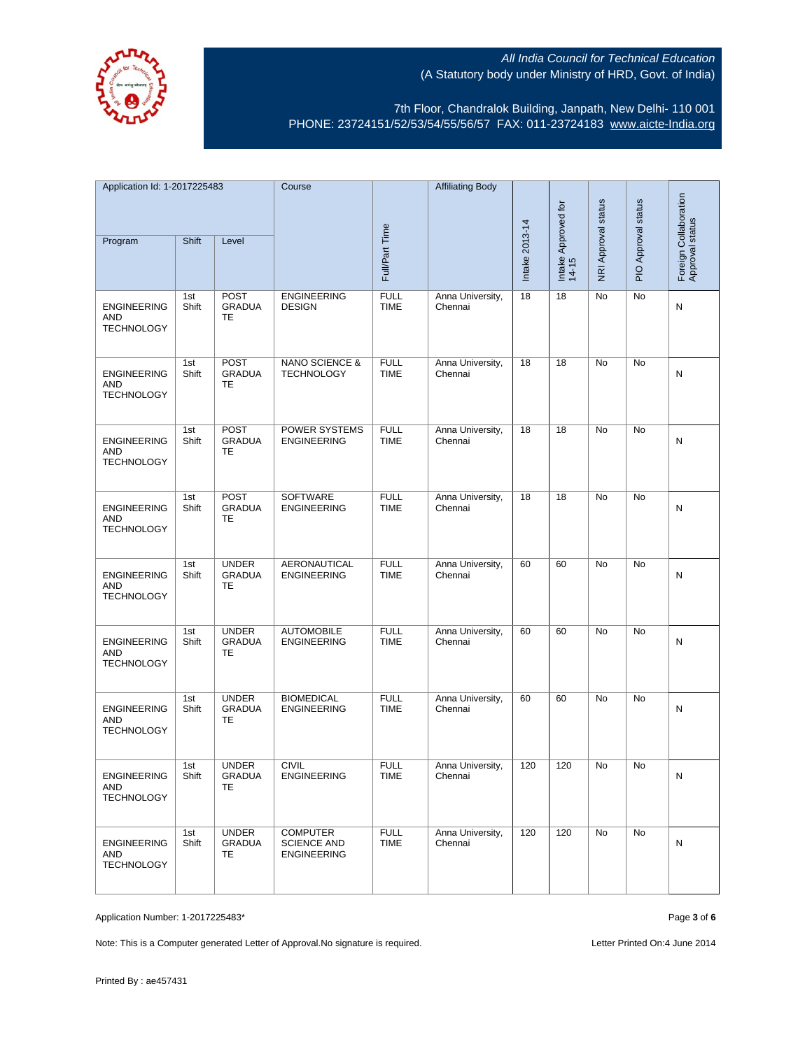



7th Floor, Chandralok Building, Janpath, New Delhi- 110 001 PHONE: 23724151/52/53/54/55/56/57 FAX: 011-23724183 [www.aicte-India.org](http://www.aicte-india.org/)

| Application Id: 1-2017225483                          |              | Course                                    |                                                             | <b>Affiliating Body</b>    |                             |                |                              |                     |                     |                                          |
|-------------------------------------------------------|--------------|-------------------------------------------|-------------------------------------------------------------|----------------------------|-----------------------------|----------------|------------------------------|---------------------|---------------------|------------------------------------------|
| Program                                               | Shift        | Level                                     |                                                             | Full/Part Time             |                             | Intake 2013-14 | Intake Approved for<br>14-15 | NRI Approval status | PIO Approval status | Foreign Collaboration<br>Approval status |
| <b>ENGINEERING</b><br><b>AND</b><br><b>TECHNOLOGY</b> | 1st<br>Shift | <b>POST</b><br><b>GRADUA</b><br><b>TE</b> | <b>ENGINEERING</b><br><b>DESIGN</b>                         | <b>FULL</b><br><b>TIME</b> | Anna University,<br>Chennai | 18             | 18                           | No                  | No                  | N                                        |
| <b>ENGINEERING</b><br>AND<br><b>TECHNOLOGY</b>        | 1st<br>Shift | POST<br><b>GRADUA</b><br>TE               | NANO SCIENCE &<br><b>TECHNOLOGY</b>                         | <b>FULL</b><br><b>TIME</b> | Anna University,<br>Chennai | 18             | 18                           | No                  | No                  | N                                        |
| <b>ENGINEERING</b><br><b>AND</b><br><b>TECHNOLOGY</b> | 1st<br>Shift | <b>POST</b><br>GRADUA<br><b>TE</b>        | <b>POWER SYSTEMS</b><br><b>ENGINEERING</b>                  | <b>FULL</b><br><b>TIME</b> | Anna University,<br>Chennai | 18             | 18                           | <b>No</b>           | <b>No</b>           | N                                        |
| <b>ENGINEERING</b><br><b>AND</b><br><b>TECHNOLOGY</b> | 1st<br>Shift | POST<br><b>GRADUA</b><br>TE               | <b>SOFTWARE</b><br><b>ENGINEERING</b>                       | <b>FULL</b><br><b>TIME</b> | Anna University,<br>Chennai | 18             | 18                           | No                  | No                  | N                                        |
| <b>ENGINEERING</b><br>AND<br><b>TECHNOLOGY</b>        | 1st<br>Shift | <b>UNDER</b><br><b>GRADUA</b><br>TE       | <b>AERONAUTICAL</b><br><b>ENGINEERING</b>                   | <b>FULL</b><br><b>TIME</b> | Anna University,<br>Chennai | 60             | 60                           | No                  | No                  | N                                        |
| <b>ENGINEERING</b><br>AND<br><b>TECHNOLOGY</b>        | 1st<br>Shift | <b>UNDER</b><br><b>GRADUA</b><br>TE       | <b>AUTOMOBILE</b><br><b>ENGINEERING</b>                     | <b>FULL</b><br><b>TIME</b> | Anna University,<br>Chennai | 60             | 60                           | No                  | <b>No</b>           | N                                        |
| <b>ENGINEERING</b><br>AND<br><b>TECHNOLOGY</b>        | 1st<br>Shift | <b>UNDER</b><br><b>GRADUA</b><br>TE       | <b>BIOMEDICAL</b><br><b>ENGINEERING</b>                     | <b>FULL</b><br><b>TIME</b> | Anna University,<br>Chennai | 60             | 60                           | <b>No</b>           | <b>No</b>           | N                                        |
| <b>ENGINEERING</b><br>AND<br><b>TECHNOLOGY</b>        | 1st<br>Shift | <b>UNDER</b><br>GRADUA<br>TE              | <b>CIVIL</b><br><b>ENGINEERING</b>                          | <b>FULL</b><br>TIME        | Anna University,<br>Chennai | 120            | 120                          | No                  | No                  | N                                        |
| <b>ENGINEERING</b><br>AND<br><b>TECHNOLOGY</b>        | 1st<br>Shift | <b>UNDER</b><br><b>GRADUA</b><br>TE.      | <b>COMPUTER</b><br><b>SCIENCE AND</b><br><b>ENGINEERING</b> | <b>FULL</b><br><b>TIME</b> | Anna University,<br>Chennai | 120            | 120                          | No                  | No                  | N                                        |

Application Number: 1-2017225483\* Page **3** of **6**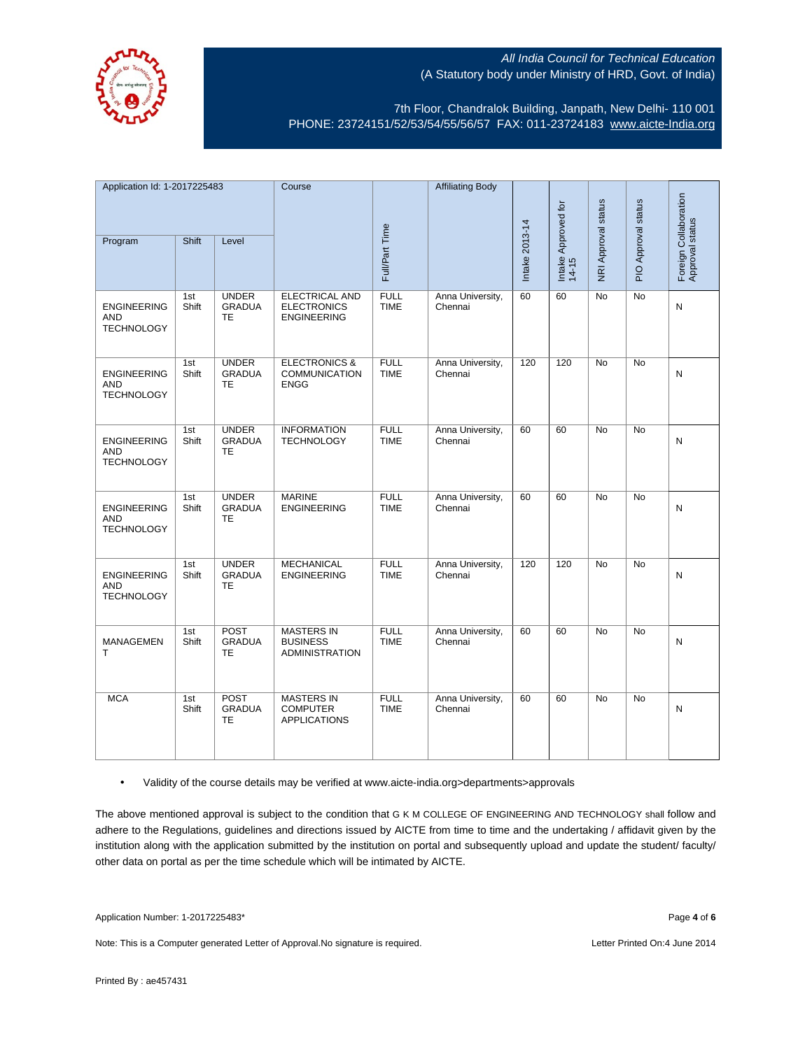

7th Floor, Chandralok Building, Janpath, New Delhi- 110 001 PHONE: 23724151/52/53/54/55/56/57 FAX: 011-23724183 [www.aicte-India.org](http://www.aicte-india.org/)

| Application Id: 1-2017225483                          |              | Course                                     |                                                                   | <b>Affiliating Body</b>    |                             |                |                              |                     |                     |                                          |
|-------------------------------------------------------|--------------|--------------------------------------------|-------------------------------------------------------------------|----------------------------|-----------------------------|----------------|------------------------------|---------------------|---------------------|------------------------------------------|
| Program                                               | Shift        | Level                                      |                                                                   | Full/Part Time             |                             | Intake 2013-14 | Intake Approved for<br>14-15 | NRI Approval status | PIO Approval status | Foreign Collaboration<br>Approval status |
| <b>ENGINEERING</b><br><b>AND</b><br><b>TECHNOLOGY</b> | 1st<br>Shift | <b>UNDER</b><br><b>GRADUA</b><br><b>TE</b> | <b>ELECTRICAL AND</b><br><b>ELECTRONICS</b><br><b>ENGINEERING</b> | <b>FULL</b><br><b>TIME</b> | Anna University,<br>Chennai | 60             | 60                           | <b>No</b>           | <b>No</b>           | N                                        |
| <b>ENGINEERING</b><br><b>AND</b><br><b>TECHNOLOGY</b> | 1st<br>Shift | <b>UNDER</b><br><b>GRADUA</b><br><b>TE</b> | <b>ELECTRONICS &amp;</b><br><b>COMMUNICATION</b><br><b>ENGG</b>   | <b>FULL</b><br><b>TIME</b> | Anna University,<br>Chennai | 120            | 120                          | <b>No</b>           | <b>No</b>           | $\mathsf{N}$                             |
| <b>ENGINEERING</b><br><b>AND</b><br><b>TECHNOLOGY</b> | 1st<br>Shift | <b>UNDER</b><br><b>GRADUA</b><br><b>TE</b> | <b>INFORMATION</b><br><b>TECHNOLOGY</b>                           | <b>FULL</b><br><b>TIME</b> | Anna University,<br>Chennai | 60             | 60                           | <b>No</b>           | <b>No</b>           | N                                        |
| <b>ENGINEERING</b><br><b>AND</b><br><b>TECHNOLOGY</b> | 1st<br>Shift | <b>UNDER</b><br><b>GRADUA</b><br><b>TE</b> | <b>MARINE</b><br><b>ENGINEERING</b>                               | <b>FULL</b><br><b>TIME</b> | Anna University,<br>Chennai | 60             | 60                           | <b>No</b>           | <b>No</b>           | N                                        |
| <b>ENGINEERING</b><br><b>AND</b><br><b>TECHNOLOGY</b> | 1st<br>Shift | <b>UNDER</b><br><b>GRADUA</b><br><b>TE</b> | <b>MECHANICAL</b><br><b>ENGINEERING</b>                           | <b>FULL</b><br><b>TIME</b> | Anna University,<br>Chennai | 120            | 120                          | No                  | No                  | N                                        |
| MANAGEMEN<br>T                                        | 1st<br>Shift | POST<br><b>GRADUA</b><br><b>TE</b>         | <b>MASTERS IN</b><br><b>BUSINESS</b><br><b>ADMINISTRATION</b>     | <b>FULL</b><br><b>TIME</b> | Anna University,<br>Chennai | 60             | 60                           | <b>No</b>           | <b>No</b>           | N                                        |
| <b>MCA</b>                                            | 1st<br>Shift | <b>POST</b><br><b>GRADUA</b><br><b>TE</b>  | <b>MASTERS IN</b><br><b>COMPUTER</b><br><b>APPLICATIONS</b>       | <b>FULL</b><br><b>TIME</b> | Anna University,<br>Chennai | 60             | 60                           | <b>No</b>           | <b>No</b>           | N                                        |

## • Validity of the course details may be verified at www.aicte-india.org>departments>approvals

The above mentioned approval is subject to the condition that G K M COLLEGE OF ENGINEERING AND TECHNOLOGY shall follow and adhere to the Regulations, guidelines and directions issued by AICTE from time to time and the undertaking / affidavit given by the institution along with the application submitted by the institution on portal and subsequently upload and update the student/ faculty/ other data on portal as per the time schedule which will be intimated by AICTE.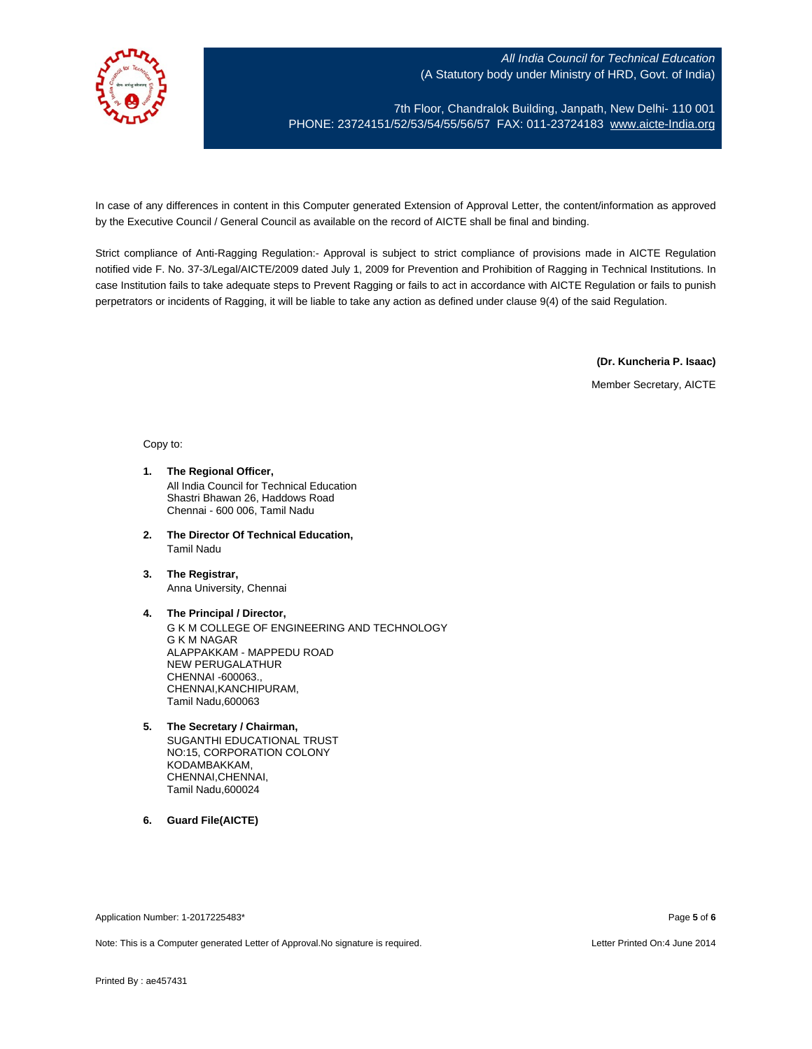

7th Floor, Chandralok Building, Janpath, New Delhi- 110 001 PHONE: 23724151/52/53/54/55/56/57 FAX: 011-23724183 [www.aicte-India.org](http://www.aicte-india.org/)

In case of any differences in content in this Computer generated Extension of Approval Letter, the content/information as approved by the Executive Council / General Council as available on the record of AICTE shall be final and binding.

Strict compliance of Anti-Ragging Regulation:- Approval is subject to strict compliance of provisions made in AICTE Regulation notified vide F. No. 37-3/Legal/AICTE/2009 dated July 1, 2009 for Prevention and Prohibition of Ragging in Technical Institutions. In case Institution fails to take adequate steps to Prevent Ragging or fails to act in accordance with AICTE Regulation or fails to punish perpetrators or incidents of Ragging, it will be liable to take any action as defined under clause 9(4) of the said Regulation.

**(Dr. Kuncheria P. Isaac)**

Member Secretary, AICTE

Copy to:

- **1. The Regional Officer,** All India Council for Technical Education Shastri Bhawan 26, Haddows Road Chennai - 600 006, Tamil Nadu
- **2. The Director Of Technical Education,** Tamil Nadu
- **3. The Registrar,** Anna University, Chennai
- **4. The Principal / Director,** G K M COLLEGE OF ENGINEERING AND TECHNOLOGY G K M NAGAR ALAPPAKKAM - MAPPEDU ROAD NEW PERUGALATHUR CHENNAI -600063., CHENNAI,KANCHIPURAM, Tamil Nadu,600063
- **5. The Secretary / Chairman,** SUGANTHI EDUCATIONAL TRUST NO:15, CORPORATION COLONY KODAMBAKKAM, CHENNAI,CHENNAI, Tamil Nadu,600024
- **6. Guard File(AICTE)**

Application Number: 1-2017225483\* Page **5** of **6**